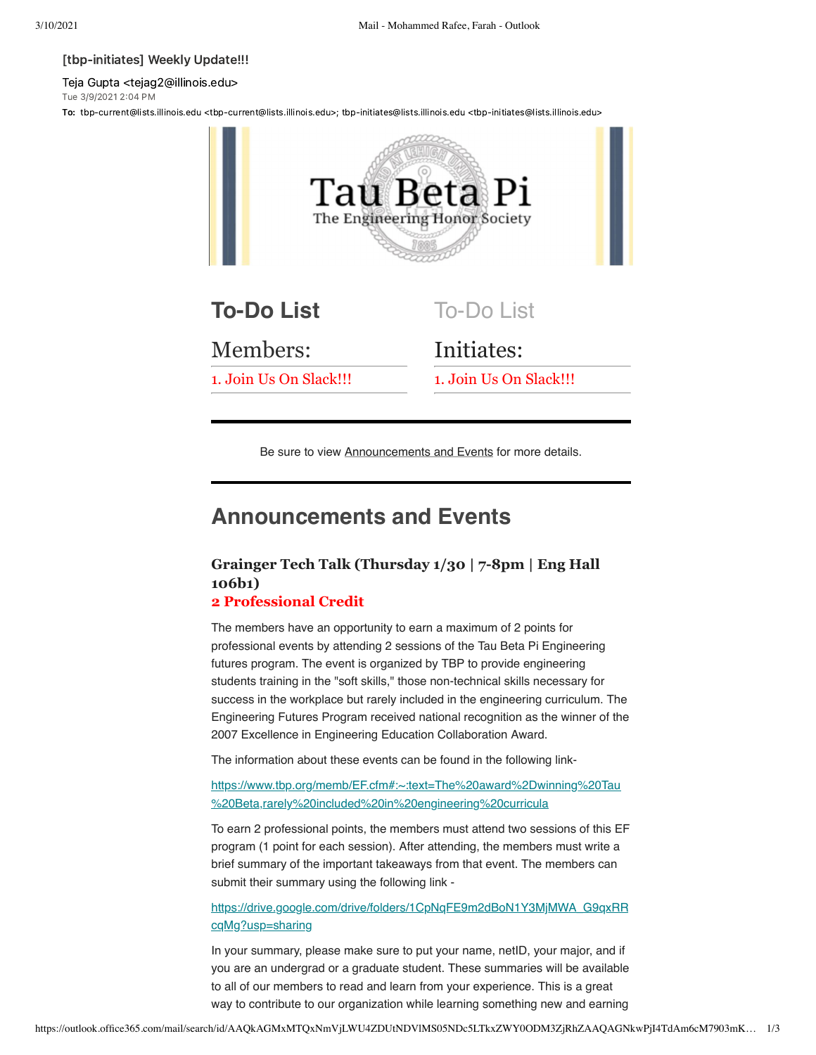#### [tbp-initiates] Weekly Update!!!

Teja Gupta <tejag2@illinois.edu> Tue 3/9/2021 2:04 PM

To: tbp-current@lists.illinois.edu <tbp-current@lists.illinois.edu>; tbp-initiates@lists.illinois.edu <tbp-initiates@lists.illinois.edu>



Be sure to view Announcements and Events for more details.

# **Announcements and Events**

# **Grainger Tech Talk (Thursday 1/30 | 7-8pm | Eng Hall 106b1)**

## **2 Professional Credit**

The members have an opportunity to earn a maximum of 2 points for professional events by attending 2 sessions of the Tau Beta Pi Engineering futures program. The event is organized by TBP to provide engineering students training in the "soft skills," those non-technical skills necessary for success in the workplace but rarely included in the engineering curriculum. The Engineering Futures Program received national recognition as the winner of the 2007 Excellence in Engineering Education Collaboration Award.

The information about these events can be found in the following link-

[https://www.tbp.org/memb/EF.cfm#:~:text=The%20award%2Dwinning%20Tau](https://urldefense.com/v3/__https://www.tbp.org/memb/EF.cfm*:*:text=The*20award*2Dwinning*20Tau*20Beta,rarely*20included*20in*20engineering*20curricula__;I34lJSUlJSUlJQ!!DZ3fjg!u3LmSw_xE8IimYIaX6SUv10m4l7JvESV6pGvvELBD55ks-2GtU9iiSHRQv-rsnEQ-mmbAWhTm50$) %20Beta,rarely%20included%20in%20engineering%20curricula

To earn 2 professional points, the members must attend two sessions of this EF program (1 point for each session). After attending, the members must write a brief summary of the important takeaways from that event. The members can submit their summary using the following link -

[https://drive.google.com/drive/folders/1CpNqFE9m2dBoN1Y3MjMWA\\_G9qxRR](https://urldefense.com/v3/__https://drive.google.com/drive/folders/1CpNqFE9m2dBoN1Y3MjMWA_G9qxRRcqMg?usp=sharing__;!!DZ3fjg!u3LmSw_xE8IimYIaX6SUv10m4l7JvESV6pGvvELBD55ks-2GtU9iiSHRQv-rsnEQ-mmbaglVGvM$) cqMg?usp=sharing

In your summary, please make sure to put your name, netID, your major, and if you are an undergrad or a graduate student. These summaries will be available to all of our members to read and learn from your experience. This is a great way to contribute to our organization while learning something new and earning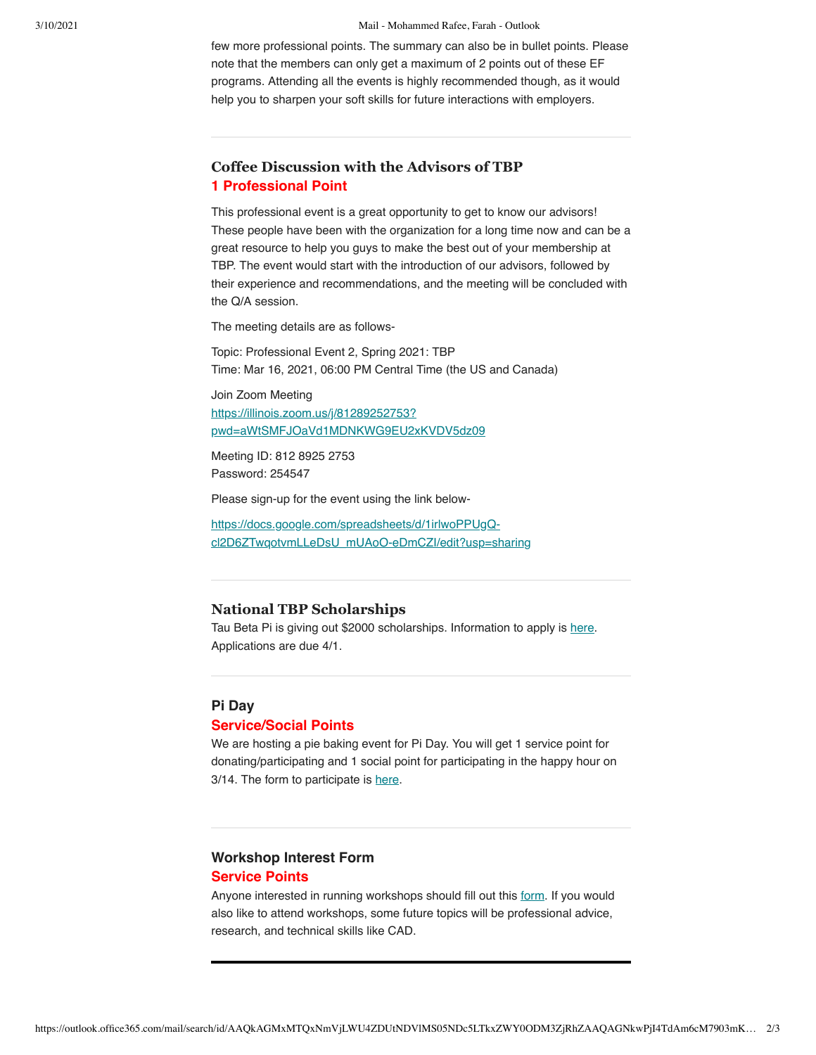#### 3/10/2021 Mail - Mohammed Rafee, Farah - Outlook

few more professional points. The summary can also be in bullet points. Please note that the members can only get a maximum of 2 points out of these EF programs. Attending all the events is highly recommended though, as it would help you to sharpen your soft skills for future interactions with employers.

# **Coffee Discussion with the Advisors of TBP 1 Professional Point**

This professional event is a great opportunity to get to know our advisors! These people have been with the organization for a long time now and can be a great resource to help you guys to make the best out of your membership at TBP. The event would start with the introduction of our advisors, followed by their experience and recommendations, and the meeting will be concluded with the Q/A session.

The meeting details are as follows-

Topic: Professional Event 2, Spring 2021: TBP Time: Mar 16, 2021, 06:00 PM Central Time (the US and Canada)

Join Zoom Meeting https://illinois.zoom.us/j/81289252753? [pwd=aWtSMFJOaVd1MDNKWG9EU2xKVDV5dz09](https://illinois.zoom.us/j/81289252753?pwd=aWtSMFJOaVd1MDNKWG9EU2xKVDV5dz09)

Meeting ID: 812 8925 2753 Password: 254547

Please sign-up for the event using the link below-

https://docs.google.com/spreadsheets/d/1irlwoPPUgQ[cl2D6ZTwqotvmLLeDsU\\_mUAoO-eDmCZI/edit?usp=sharing](https://urldefense.com/v3/__https://docs.google.com/spreadsheets/d/1irlwoPPUgQ-cl2D6ZTwqotvmLLeDsU_mUAoO-eDmCZI/edit?usp=sharing__;!!DZ3fjg!u3LmSw_xE8IimYIaX6SUv10m4l7JvESV6pGvvELBD55ks-2GtU9iiSHRQv-rsnEQ-mmbYQF8nZU$)

#### **National TBP Scholarships**

Tau Beta Pi is giving out \$2000 scholarships. Information to apply is [here](https://urldefense.com/v3/__https://docs.google.com/spreadsheets/d/1lx7Ac4sFCzsU92poTwJUiWHWOi2ux5ypaXmDNVwdeYo/edit*gid=0__;Iw!!DZ3fjg!q7YjF8q02r4t12wPhaipGJGv8whmK9Zh-PWIyEUl41pmi2rMN22o8Oj_9xPBXgeOrBc9vOnIyg$). Applications are due 4/1.

## **Pi Day Service/Social Points**

We are hosting a pie baking event for Pi Day. You will get 1 service point for donating/participating and 1 social point for participating in the happy hour on 3/14. The form to participate is [here.](https://urldefense.com/v3/__https://docs.google.com/forms/d/e/1FAIpQLSeh2iappj4-RPKoXa6mgNxLSRQ9w2ik4qS4r23ibbO6xWd7BQ/viewform__;!!DZ3fjg!u3LmSw_xE8IimYIaX6SUv10m4l7JvESV6pGvvELBD55ks-2GtU9iiSHRQv-rsnEQ-mmbXVLPP_A$)

#### **Workshop Interest Form Service Points**

Anyone interested in running workshops should fill out this [form.](https://urldefense.com/v3/__https://docs.google.com/forms/d/e/1FAIpQLScomspX_Mx05RQusuxy7z_rqd7J0VbkBLPvQrfFFK271oGyxQ/viewform__;!!DZ3fjg!u3LmSw_xE8IimYIaX6SUv10m4l7JvESV6pGvvELBD55ks-2GtU9iiSHRQv-rsnEQ-mmb787uq_Y$) If you would also like to attend workshops, some future topics will be professional advice, research, and technical skills like CAD.